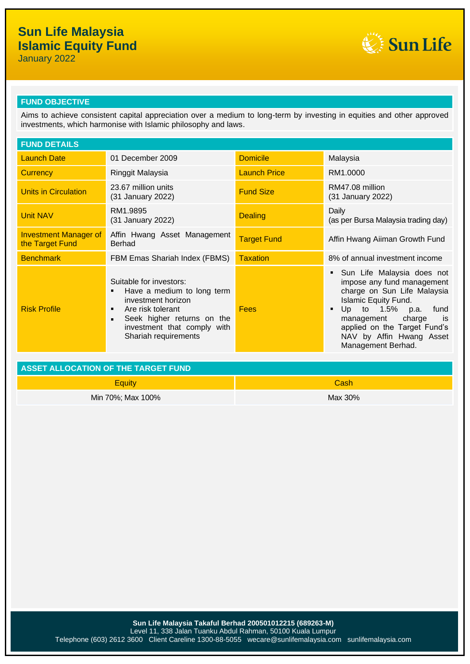## **Sun Life Malaysia Islamic Equity Fund**

January 2022



## **FUND OBJECTIVE**

Aims to achieve consistent capital appreciation over a medium to long-term by investing in equities and other approved investments, which harmonise with Islamic philosophy and laws.

| <b>FUND DETAILS</b>                             |                                                                                                                                                                                                                                |                     |                                                                                                                                                                                                                                                                |  |
|-------------------------------------------------|--------------------------------------------------------------------------------------------------------------------------------------------------------------------------------------------------------------------------------|---------------------|----------------------------------------------------------------------------------------------------------------------------------------------------------------------------------------------------------------------------------------------------------------|--|
| <b>Launch Date</b>                              | 01 December 2009                                                                                                                                                                                                               | <b>Domicile</b>     | Malaysia                                                                                                                                                                                                                                                       |  |
| <b>Currency</b>                                 | Ringgit Malaysia                                                                                                                                                                                                               | <b>Launch Price</b> | RM1.0000                                                                                                                                                                                                                                                       |  |
| Units in Circulation                            | 23.67 million units<br>(31 January 2022)                                                                                                                                                                                       | <b>Fund Size</b>    | RM47.08 million<br>(31 January 2022)                                                                                                                                                                                                                           |  |
| <b>Unit NAV</b>                                 | RM1.9895<br>(31 January 2022)                                                                                                                                                                                                  | <b>Dealing</b>      | Daily<br>(as per Bursa Malaysia trading day)                                                                                                                                                                                                                   |  |
| <b>Investment Manager of</b><br>the Target Fund | Affin Hwang Asset Management<br>Berhad                                                                                                                                                                                         | <b>Target Fund</b>  | Affin Hwang Aiiman Growth Fund                                                                                                                                                                                                                                 |  |
| <b>Benchmark</b>                                | FBM Emas Shariah Index (FBMS)                                                                                                                                                                                                  | <b>Taxation</b>     | 8% of annual investment income                                                                                                                                                                                                                                 |  |
| <b>Risk Profile</b>                             | Suitable for investors:<br>Have a medium to long term<br>$\blacksquare$<br>investment horizon<br>Are risk tolerant<br>٠<br>Seek higher returns on the<br>$\blacksquare$<br>investment that comply with<br>Shariah requirements | <b>Fees</b>         | Sun Life Malaysia does not<br>impose any fund management<br>charge on Sun Life Malaysia<br><b>Islamic Equity Fund.</b><br>Up to 1.5% p.a.<br>fund<br>management charge<br>is<br>applied on the Target Fund's<br>NAV by Affin Hwang Asset<br>Management Berhad. |  |

| ASSET ALLOCATION OF THE TARGET FUND |             |  |
|-------------------------------------|-------------|--|
| Eauitv                              | <b>Cash</b> |  |
| Min 70%; Max 100%                   | Max 30%     |  |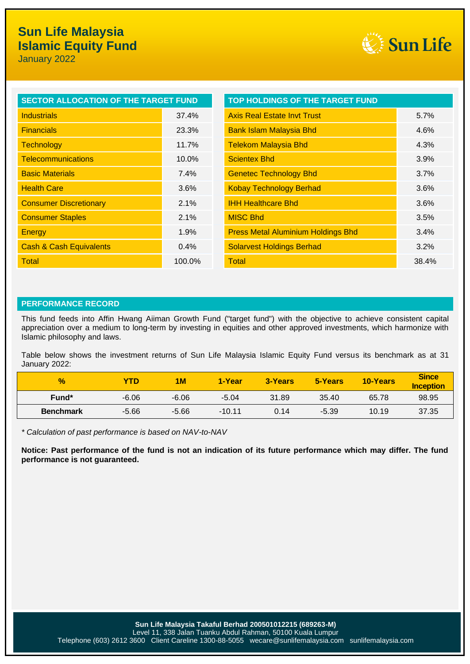

| SECTOR ALLOCATION OF THE TARGET FUND |          | TOP HOLDINGS OF THE TARGET FUND           |       |
|--------------------------------------|----------|-------------------------------------------|-------|
| <b>Industrials</b>                   | 37.4%    | <b>Axis Real Estate Invt Trust</b>        | 5.7%  |
| <b>Financials</b>                    | 23.3%    | <b>Bank Islam Malaysia Bhd</b>            | 4.6%  |
| <b>Technology</b>                    | 11.7%    | <b>Telekom Malaysia Bhd</b>               | 4.3%  |
| <b>Telecommunications</b>            | $10.0\%$ | <b>Scientex Bhd</b>                       | 3.9%  |
| <b>Basic Materials</b>               | 7.4%     | <b>Genetec Technology Bhd</b>             | 3.7%  |
| <b>Health Care</b>                   | 3.6%     | <b>Kobay Technology Berhad</b>            | 3.6%  |
| <b>Consumer Discretionary</b>        | 2.1%     | <b>IHH Healthcare Bhd</b>                 | 3.6%  |
| <b>Consumer Staples</b>              | 2.1%     | <b>MISC Bhd</b>                           | 3.5%  |
| Energy                               | 1.9%     | <b>Press Metal Aluminium Holdings Bhd</b> | 3.4%  |
| <b>Cash &amp; Cash Equivalents</b>   | 0.4%     | <b>Solarvest Holdings Berhad</b>          | 3.2%  |
| Total                                | 100.0%   | Total                                     | 38.4% |

### **PERFORMANCE RECORD**

This fund feeds into Affin Hwang Aiiman Growth Fund ("target fund") with the objective to achieve consistent capital appreciation over a medium to long-term by investing in equities and other approved investments, which harmonize with Islamic philosophy and laws.

Table below shows the investment returns of Sun Life Malaysia Islamic Equity Fund versus its benchmark as at 31 January 2022:

| $\frac{9}{6}$     | YTD     | <b>1M</b> | 1-Year   | 3-Years | 5-Years | <b>10-Years</b> | <b>Since</b><br><b>Inception</b> |
|-------------------|---------|-----------|----------|---------|---------|-----------------|----------------------------------|
| Fund <sup>*</sup> | $-6.06$ | $-6.06$   | $-5.04$  | 31.89   | 35.40   | 65.78           | 98.95                            |
| <b>Benchmark</b>  | $-5.66$ | $-5.66$   | $-10.11$ | 0.14    | $-5.39$ | 10.19           | 37.35                            |

*\* Calculation of past performance is based on NAV-to-NAV*

**Notice: Past performance of the fund is not an indication of its future performance which may differ. The fund performance is not guaranteed.**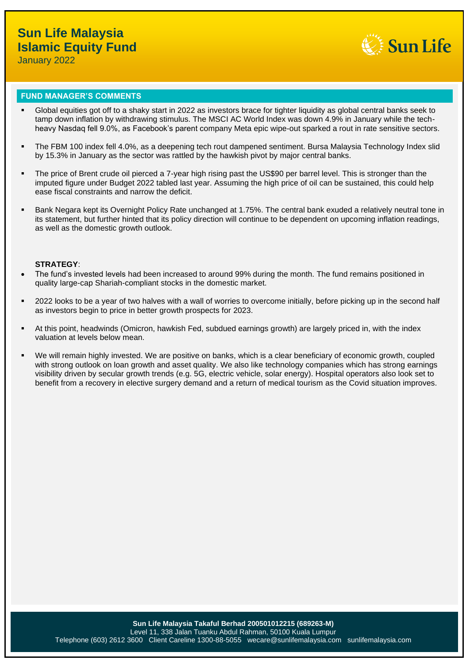

#### **FUND MANAGER'S COMMENTS**

- Global equities got off to a shaky start in 2022 as investors brace for tighter liquidity as global central banks seek to tamp down inflation by withdrawing stimulus. The MSCI AC World Index was down 4.9% in January while the techheavy Nasdaq fell 9.0%, as Facebook's parent company Meta epic wipe-out sparked a rout in rate sensitive sectors.
- The FBM 100 index fell 4.0%, as a deepening tech rout dampened sentiment. Bursa Malaysia Technology Index slid by 15.3% in January as the sector was rattled by the hawkish pivot by major central banks.
- The price of Brent crude oil pierced a 7-year high rising past the US\$90 per barrel level. This is stronger than the imputed figure under Budget 2022 tabled last year. Assuming the high price of oil can be sustained, this could help ease fiscal constraints and narrow the deficit.
- Bank Negara kept its Overnight Policy Rate unchanged at 1.75%. The central bank exuded a relatively neutral tone in its statement, but further hinted that its policy direction will continue to be dependent on upcoming inflation readings, as well as the domestic growth outlook.

### **STRATEGY**:

- The fund's invested levels had been increased to around 99% during the month. The fund remains positioned in quality large-cap Shariah-compliant stocks in the domestic market.
- 2022 looks to be a year of two halves with a wall of worries to overcome initially, before picking up in the second half as investors begin to price in better growth prospects for 2023.
- At this point, headwinds (Omicron, hawkish Fed, subdued earnings growth) are largely priced in, with the index valuation at levels below mean.
- We will remain highly invested. We are positive on banks, which is a clear beneficiary of economic growth, coupled with strong outlook on loan growth and asset quality. We also like technology companies which has strong earnings visibility driven by secular growth trends (e.g. 5G, electric vehicle, solar energy). Hospital operators also look set to benefit from a recovery in elective surgery demand and a return of medical tourism as the Covid situation improves.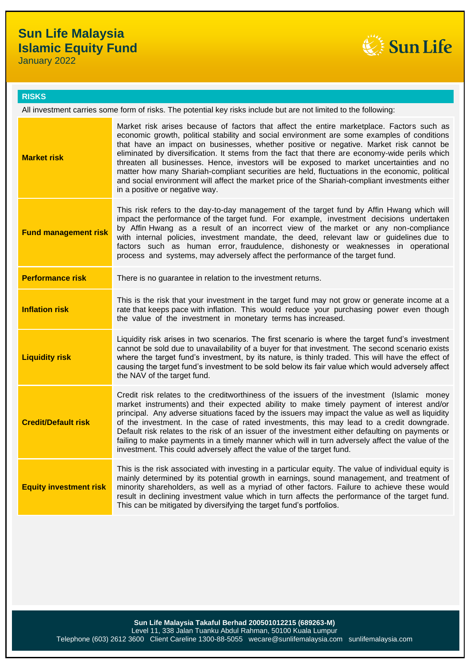# **Sun Life Malaysia Islamic Equity Fund**

January 2022



### **RISKS**

All investment carries some form of risks. The potential key risks include but are not limited to the following:

| <b>Market risk</b>            | Market risk arises because of factors that affect the entire marketplace. Factors such as<br>economic growth, political stability and social environment are some examples of conditions<br>that have an impact on businesses, whether positive or negative. Market risk cannot be<br>eliminated by diversification. It stems from the fact that there are economy-wide perils which<br>threaten all businesses. Hence, investors will be exposed to market uncertainties and no<br>matter how many Shariah-compliant securities are held, fluctuations in the economic, political<br>and social environment will affect the market price of the Shariah-compliant investments either<br>in a positive or negative way. |
|-------------------------------|-------------------------------------------------------------------------------------------------------------------------------------------------------------------------------------------------------------------------------------------------------------------------------------------------------------------------------------------------------------------------------------------------------------------------------------------------------------------------------------------------------------------------------------------------------------------------------------------------------------------------------------------------------------------------------------------------------------------------|
| <b>Fund management risk</b>   | This risk refers to the day-to-day management of the target fund by Affin Hwang which will<br>impact the performance of the target fund. For example, investment decisions undertaken<br>by Affin Hwang as a result of an incorrect view of the market or any non-compliance<br>with internal policies, investment mandate, the deed, relevant law or guidelines due to<br>factors such as human error, fraudulence, dishonesty or weaknesses in operational<br>process and systems, may adversely affect the performance of the target fund.                                                                                                                                                                           |
| <b>Performance risk</b>       | There is no guarantee in relation to the investment returns.                                                                                                                                                                                                                                                                                                                                                                                                                                                                                                                                                                                                                                                            |
| <b>Inflation risk</b>         | This is the risk that your investment in the target fund may not grow or generate income at a<br>rate that keeps pace with inflation. This would reduce your purchasing power even though<br>the value of the investment in monetary terms has increased.                                                                                                                                                                                                                                                                                                                                                                                                                                                               |
| <b>Liquidity risk</b>         | Liquidity risk arises in two scenarios. The first scenario is where the target fund's investment<br>cannot be sold due to unavailability of a buyer for that investment. The second scenario exists<br>where the target fund's investment, by its nature, is thinly traded. This will have the effect of<br>causing the target fund's investment to be sold below its fair value which would adversely affect<br>the NAV of the target fund.                                                                                                                                                                                                                                                                            |
| <b>Credit/Default risk</b>    | Credit risk relates to the creditworthiness of the issuers of the investment (Islamic money<br>market instruments) and their expected ability to make timely payment of interest and/or<br>principal. Any adverse situations faced by the issuers may impact the value as well as liquidity<br>of the investment. In the case of rated investments, this may lead to a credit downgrade.<br>Default risk relates to the risk of an issuer of the investment either defaulting on payments or<br>failing to make payments in a timely manner which will in turn adversely affect the value of the<br>investment. This could adversely affect the value of the target fund.                                               |
| <b>Equity investment risk</b> | This is the risk associated with investing in a particular equity. The value of individual equity is<br>mainly determined by its potential growth in earnings, sound management, and treatment of<br>minority shareholders, as well as a myriad of other factors. Failure to achieve these would<br>result in declining investment value which in turn affects the performance of the target fund.<br>This can be mitigated by diversifying the target fund's portfolios.                                                                                                                                                                                                                                               |